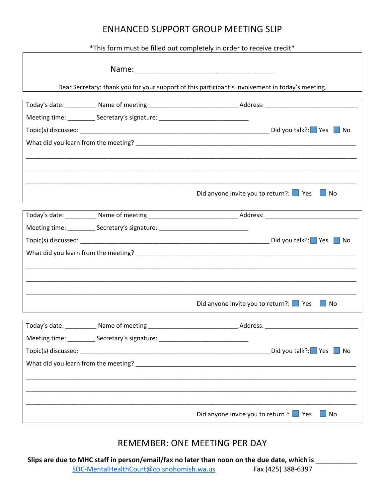## ENHANCED SUPPORT GROUP MEETING SLIP

\*This form must be filled out completely in order to receive credit\*

|                                                                                  | Dear Secretary: thank you for your support of this participant's involvement in today's meeting. |
|----------------------------------------------------------------------------------|--------------------------------------------------------------------------------------------------|
|                                                                                  |                                                                                                  |
| Meeting time: ___________ Secretary's signature: _______________________________ |                                                                                                  |
|                                                                                  |                                                                                                  |
|                                                                                  |                                                                                                  |
|                                                                                  |                                                                                                  |
|                                                                                  | Did anyone invite you to return?: $\Box$ Yes<br>$\Box$ No                                        |
|                                                                                  |                                                                                                  |
| Meeting time: ___________ Secretary's signature: _______________________________ |                                                                                                  |
|                                                                                  |                                                                                                  |
|                                                                                  |                                                                                                  |
|                                                                                  |                                                                                                  |
|                                                                                  |                                                                                                  |
|                                                                                  | Did anyone invite you to return?: $\Box$ Yes<br>$\Box$ No                                        |
|                                                                                  |                                                                                                  |
| Meeting time: ____________ Secretary's signature: ______________________________ |                                                                                                  |
|                                                                                  | Did you talk?: $\blacksquare$ Yes $\blacksquare$ No                                              |
|                                                                                  | What did you learn from the meeting?<br>What did you learn from the meeting?                     |
|                                                                                  |                                                                                                  |
|                                                                                  | Did anyone invite you to return?: $\Box$ Yes<br>$\Box$ No                                        |

## REMEMBER: ONE MEETING PER DAY

**Slips are due to MHC staff in person/email/fax no later than noon on the due date, which is \_\_\_\_\_\_\_\_\_\_\_** SDC-MentalHealthCourt@co.snohomish.wa.us Fax (425) 388-6397